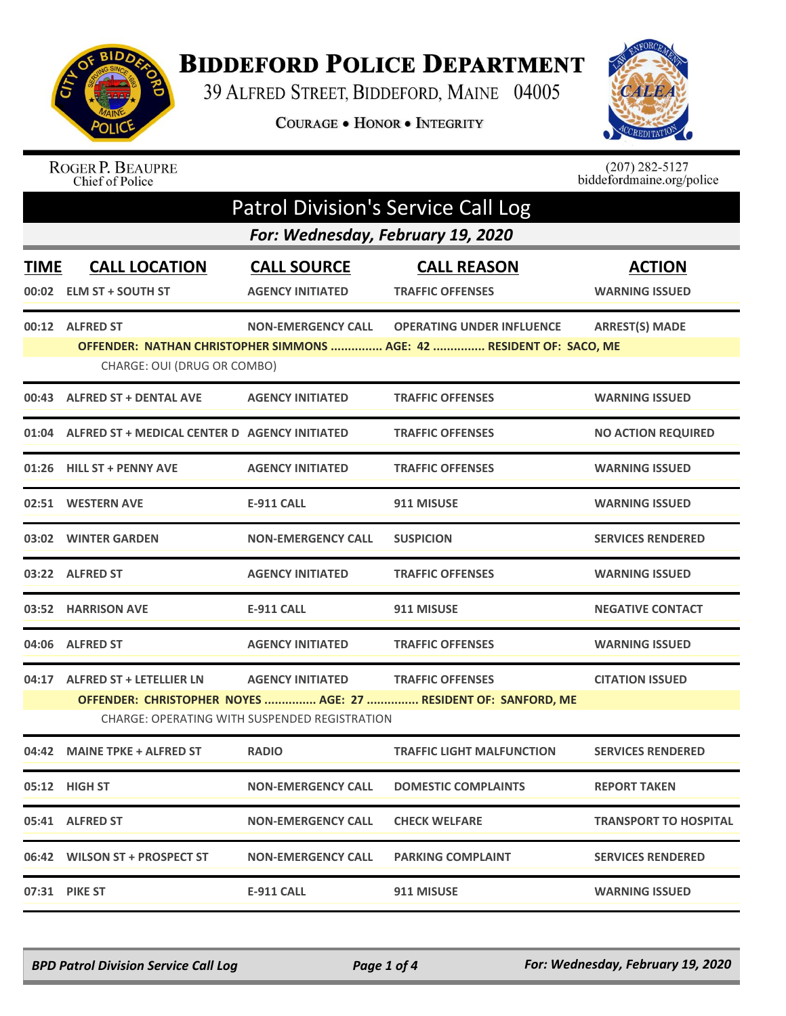

## **BIDDEFORD POLICE DEPARTMENT**

39 ALFRED STREET, BIDDEFORD, MAINE 04005

COURAGE . HONOR . INTEGRITY



## ROGER P. BEAUPRE<br>Chief of Police

 $(207)$  282-5127<br>biddefordmaine.org/police

| <b>Patrol Division's Service Call Log</b> |                                                     |                                                                          |                                                                                                          |                                        |  |
|-------------------------------------------|-----------------------------------------------------|--------------------------------------------------------------------------|----------------------------------------------------------------------------------------------------------|----------------------------------------|--|
|                                           | For: Wednesday, February 19, 2020                   |                                                                          |                                                                                                          |                                        |  |
| <b>TIME</b>                               | <b>CALL LOCATION</b><br>00:02 ELM ST + SOUTH ST     | <b>CALL SOURCE</b><br><b>AGENCY INITIATED</b>                            | <b>CALL REASON</b><br><b>TRAFFIC OFFENSES</b>                                                            | <b>ACTION</b><br><b>WARNING ISSUED</b> |  |
|                                           | 00:12 ALFRED ST<br>CHARGE: OUI (DRUG OR COMBO)      | <b>NON-EMERGENCY CALL</b>                                                | <b>OPERATING UNDER INFLUENCE</b><br>OFFENDER: NATHAN CHRISTOPHER SIMMONS  AGE: 42  RESIDENT OF: SACO, ME | <b>ARREST(S) MADE</b>                  |  |
|                                           | 00:43 ALFRED ST + DENTAL AVE                        | <b>AGENCY INITIATED</b>                                                  | <b>TRAFFIC OFFENSES</b>                                                                                  | <b>WARNING ISSUED</b>                  |  |
|                                           | 01:04 ALFRED ST + MEDICAL CENTER D AGENCY INITIATED |                                                                          | <b>TRAFFIC OFFENSES</b>                                                                                  | <b>NO ACTION REQUIRED</b>              |  |
|                                           | 01:26 HILL ST + PENNY AVE                           | <b>AGENCY INITIATED</b>                                                  | <b>TRAFFIC OFFENSES</b>                                                                                  | <b>WARNING ISSUED</b>                  |  |
|                                           | 02:51 WESTERN AVE                                   | <b>E-911 CALL</b>                                                        | 911 MISUSE                                                                                               | <b>WARNING ISSUED</b>                  |  |
|                                           | 03:02 WINTER GARDEN                                 | <b>NON-EMERGENCY CALL</b>                                                | <b>SUSPICION</b>                                                                                         | <b>SERVICES RENDERED</b>               |  |
|                                           | 03:22 ALFRED ST                                     | <b>AGENCY INITIATED</b>                                                  | <b>TRAFFIC OFFENSES</b>                                                                                  | <b>WARNING ISSUED</b>                  |  |
|                                           | 03:52 HARRISON AVE                                  | <b>E-911 CALL</b>                                                        | 911 MISUSE                                                                                               | <b>NEGATIVE CONTACT</b>                |  |
|                                           | 04:06 ALFRED ST                                     | <b>AGENCY INITIATED</b>                                                  | <b>TRAFFIC OFFENSES</b>                                                                                  | <b>WARNING ISSUED</b>                  |  |
|                                           | 04:17 ALFRED ST + LETELLIER LN                      | <b>AGENCY INITIATED</b><br>CHARGE: OPERATING WITH SUSPENDED REGISTRATION | <b>TRAFFIC OFFENSES</b><br>OFFENDER: CHRISTOPHER NOYES  AGE: 27  RESIDENT OF: SANFORD, ME                | <b>CITATION ISSUED</b>                 |  |
| 04:42                                     | <b>MAINE TPKE + ALFRED ST</b>                       | <b>RADIO</b>                                                             | <b>TRAFFIC LIGHT MALFUNCTION</b>                                                                         | <b>SERVICES RENDERED</b>               |  |
|                                           | 05:12 HIGH ST                                       | <b>NON-EMERGENCY CALL</b>                                                | <b>DOMESTIC COMPLAINTS</b>                                                                               | <b>REPORT TAKEN</b>                    |  |
|                                           | 05:41 ALFRED ST                                     | <b>NON-EMERGENCY CALL</b>                                                | <b>CHECK WELFARE</b>                                                                                     | <b>TRANSPORT TO HOSPITAL</b>           |  |
|                                           | 06:42 WILSON ST + PROSPECT ST                       | <b>NON-EMERGENCY CALL</b>                                                | <b>PARKING COMPLAINT</b>                                                                                 | <b>SERVICES RENDERED</b>               |  |
|                                           | 07:31 PIKE ST                                       | E-911 CALL                                                               | 911 MISUSE                                                                                               | <b>WARNING ISSUED</b>                  |  |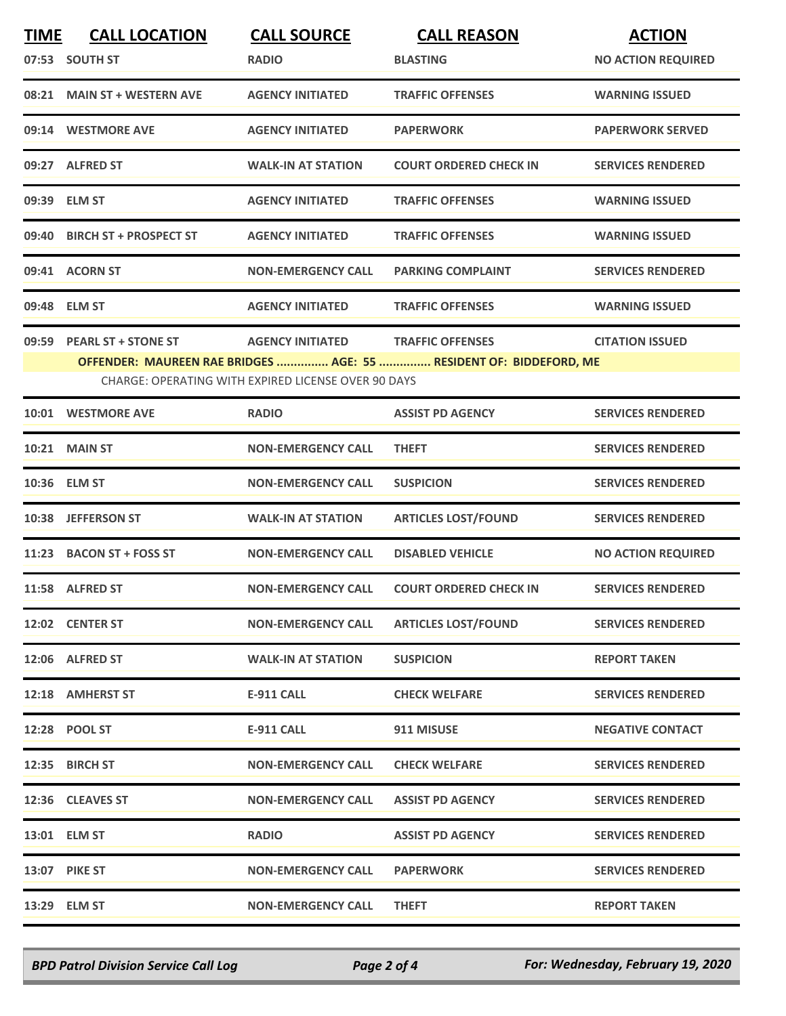| <b>TIME</b> | <b>CALL LOCATION</b>                                | <b>CALL SOURCE</b>        | <b>CALL REASON</b>                                                 | <b>ACTION</b>             |  |  |
|-------------|-----------------------------------------------------|---------------------------|--------------------------------------------------------------------|---------------------------|--|--|
|             | 07:53 SOUTH ST                                      | <b>RADIO</b>              | <b>BLASTING</b>                                                    | <b>NO ACTION REQUIRED</b> |  |  |
|             | 08:21 MAIN ST + WESTERN AVE                         | <b>AGENCY INITIATED</b>   | <b>TRAFFIC OFFENSES</b>                                            | <b>WARNING ISSUED</b>     |  |  |
|             | 09:14 WESTMORE AVE                                  | <b>AGENCY INITIATED</b>   | <b>PAPERWORK</b>                                                   | <b>PAPERWORK SERVED</b>   |  |  |
|             | 09:27 ALFRED ST                                     | <b>WALK-IN AT STATION</b> | <b>COURT ORDERED CHECK IN</b>                                      | <b>SERVICES RENDERED</b>  |  |  |
|             | 09:39 ELM ST                                        | <b>AGENCY INITIATED</b>   | <b>TRAFFIC OFFENSES</b>                                            | <b>WARNING ISSUED</b>     |  |  |
|             | 09:40 BIRCH ST + PROSPECT ST                        | <b>AGENCY INITIATED</b>   | <b>TRAFFIC OFFENSES</b>                                            | <b>WARNING ISSUED</b>     |  |  |
|             | 09:41 ACORN ST                                      | <b>NON-EMERGENCY CALL</b> | <b>PARKING COMPLAINT</b>                                           | <b>SERVICES RENDERED</b>  |  |  |
|             | 09:48 ELM ST                                        | <b>AGENCY INITIATED</b>   | <b>TRAFFIC OFFENSES</b>                                            | <b>WARNING ISSUED</b>     |  |  |
|             | 09:59 PEARL ST + STONE ST                           | <b>AGENCY INITIATED</b>   | <b>TRAFFIC OFFENSES</b>                                            | <b>CITATION ISSUED</b>    |  |  |
|             |                                                     |                           | OFFENDER: MAUREEN RAE BRIDGES  AGE: 55  RESIDENT OF: BIDDEFORD, ME |                           |  |  |
|             | CHARGE: OPERATING WITH EXPIRED LICENSE OVER 90 DAYS |                           |                                                                    |                           |  |  |
|             | 10:01 WESTMORE AVE                                  | <b>RADIO</b>              | <b>ASSIST PD AGENCY</b>                                            | <b>SERVICES RENDERED</b>  |  |  |
|             | <b>10:21 MAIN ST</b>                                | <b>NON-EMERGENCY CALL</b> | <b>THEFT</b>                                                       | <b>SERVICES RENDERED</b>  |  |  |
|             | 10:36 ELM ST                                        | <b>NON-EMERGENCY CALL</b> | <b>SUSPICION</b>                                                   | <b>SERVICES RENDERED</b>  |  |  |
|             | 10:38 JEFFERSON ST                                  | <b>WALK-IN AT STATION</b> | <b>ARTICLES LOST/FOUND</b>                                         | <b>SERVICES RENDERED</b>  |  |  |
|             | 11:23 BACON ST + FOSS ST                            | <b>NON-EMERGENCY CALL</b> | <b>DISABLED VEHICLE</b>                                            | <b>NO ACTION REQUIRED</b> |  |  |
|             | 11:58 ALFRED ST                                     | <b>NON-EMERGENCY CALL</b> | <b>COURT ORDERED CHECK IN</b>                                      | <b>SERVICES RENDERED</b>  |  |  |
|             | 12:02 CENTER ST                                     | <b>NON-EMERGENCY CALL</b> | <b>ARTICLES LOST/FOUND</b>                                         | <b>SERVICES RENDERED</b>  |  |  |
|             | 12:06 ALFRED ST                                     | <b>WALK-IN AT STATION</b> | <b>SUSPICION</b>                                                   | <b>REPORT TAKEN</b>       |  |  |
|             | 12:18 AMHERST ST                                    | E-911 CALL                | <b>CHECK WELFARE</b>                                               | <b>SERVICES RENDERED</b>  |  |  |
|             | 12:28 POOL ST                                       | E-911 CALL                | 911 MISUSE                                                         | <b>NEGATIVE CONTACT</b>   |  |  |
|             | 12:35 BIRCH ST                                      | <b>NON-EMERGENCY CALL</b> | <b>CHECK WELFARE</b>                                               | <b>SERVICES RENDERED</b>  |  |  |
|             | 12:36 CLEAVES ST                                    | <b>NON-EMERGENCY CALL</b> | <b>ASSIST PD AGENCY</b>                                            | <b>SERVICES RENDERED</b>  |  |  |
|             | 13:01 ELM ST                                        | <b>RADIO</b>              | <b>ASSIST PD AGENCY</b>                                            | <b>SERVICES RENDERED</b>  |  |  |
|             | 13:07 PIKE ST                                       | <b>NON-EMERGENCY CALL</b> | <b>PAPERWORK</b>                                                   | <b>SERVICES RENDERED</b>  |  |  |
|             | 13:29 ELM ST                                        | <b>NON-EMERGENCY CALL</b> | <b>THEFT</b>                                                       | <b>REPORT TAKEN</b>       |  |  |

*BPD Patrol Division Service Call Log Page 2 of 4 For: Wednesday, February 19, 2020*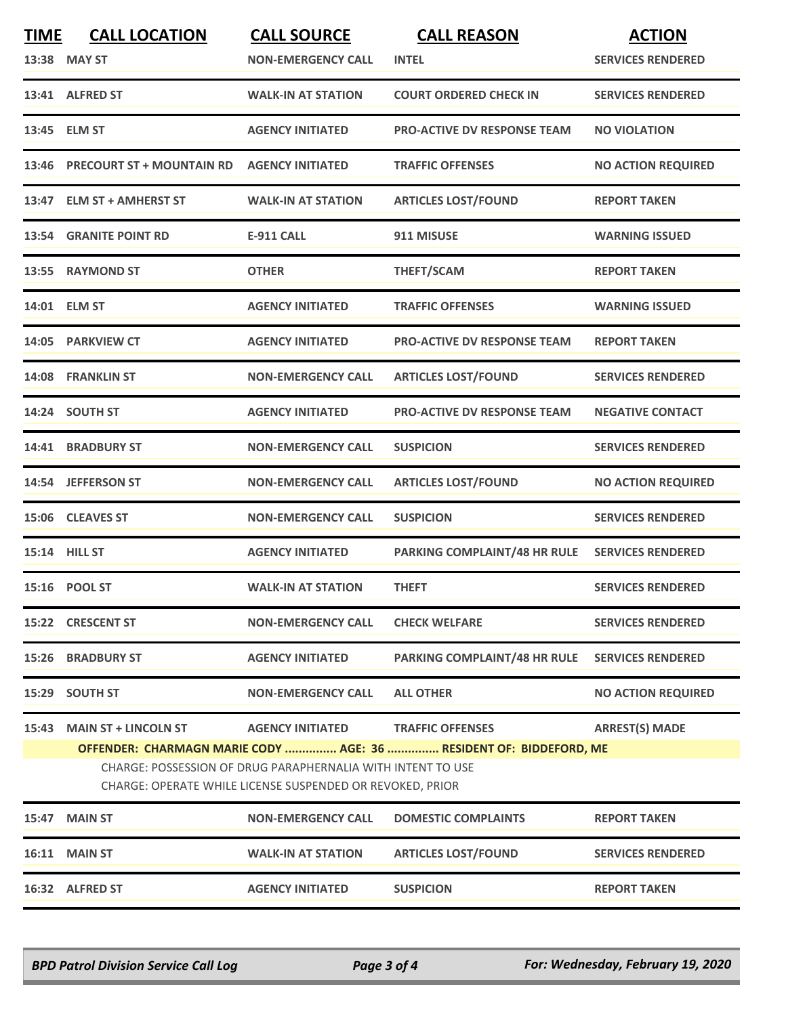| <b>TIME</b><br>13:38 | <b>CALL LOCATION</b><br><b>MAY ST</b>                                                                                                                                                                                                                                                                        | <b>CALL SOURCE</b><br><b>NON-EMERGENCY CALL</b> | <b>CALL REASON</b><br><b>INTEL</b>  | <b>ACTION</b><br><b>SERVICES RENDERED</b> |  |
|----------------------|--------------------------------------------------------------------------------------------------------------------------------------------------------------------------------------------------------------------------------------------------------------------------------------------------------------|-------------------------------------------------|-------------------------------------|-------------------------------------------|--|
|                      | 13:41 ALFRED ST                                                                                                                                                                                                                                                                                              | <b>WALK-IN AT STATION</b>                       | <b>COURT ORDERED CHECK IN</b>       | <b>SERVICES RENDERED</b>                  |  |
|                      | 13:45 ELM ST                                                                                                                                                                                                                                                                                                 | <b>AGENCY INITIATED</b>                         | <b>PRO-ACTIVE DV RESPONSE TEAM</b>  | <b>NO VIOLATION</b>                       |  |
| 13:46                | <b>PRECOURT ST + MOUNTAIN RD</b>                                                                                                                                                                                                                                                                             | <b>AGENCY INITIATED</b>                         | <b>TRAFFIC OFFENSES</b>             | <b>NO ACTION REQUIRED</b>                 |  |
|                      | 13:47 ELM ST + AMHERST ST                                                                                                                                                                                                                                                                                    | <b>WALK-IN AT STATION</b>                       | <b>ARTICLES LOST/FOUND</b>          | <b>REPORT TAKEN</b>                       |  |
| 13:54                | <b>GRANITE POINT RD</b>                                                                                                                                                                                                                                                                                      | <b>E-911 CALL</b>                               | 911 MISUSE                          | <b>WARNING ISSUED</b>                     |  |
| 13:55                | <b>RAYMOND ST</b>                                                                                                                                                                                                                                                                                            | <b>OTHER</b>                                    | THEFT/SCAM                          | <b>REPORT TAKEN</b>                       |  |
|                      | 14:01 ELM ST                                                                                                                                                                                                                                                                                                 | <b>AGENCY INITIATED</b>                         | <b>TRAFFIC OFFENSES</b>             | <b>WARNING ISSUED</b>                     |  |
|                      | 14:05 PARKVIEW CT                                                                                                                                                                                                                                                                                            | <b>AGENCY INITIATED</b>                         | <b>PRO-ACTIVE DV RESPONSE TEAM</b>  | <b>REPORT TAKEN</b>                       |  |
|                      | 14:08 FRANKLIN ST                                                                                                                                                                                                                                                                                            | <b>NON-EMERGENCY CALL</b>                       | <b>ARTICLES LOST/FOUND</b>          | <b>SERVICES RENDERED</b>                  |  |
|                      | 14:24 SOUTH ST                                                                                                                                                                                                                                                                                               | <b>AGENCY INITIATED</b>                         | <b>PRO-ACTIVE DV RESPONSE TEAM</b>  | <b>NEGATIVE CONTACT</b>                   |  |
|                      | 14:41 BRADBURY ST                                                                                                                                                                                                                                                                                            | <b>NON-EMERGENCY CALL</b>                       | <b>SUSPICION</b>                    | <b>SERVICES RENDERED</b>                  |  |
|                      | 14:54 JEFFERSON ST                                                                                                                                                                                                                                                                                           | <b>NON-EMERGENCY CALL</b>                       | <b>ARTICLES LOST/FOUND</b>          | <b>NO ACTION REQUIRED</b>                 |  |
| 15:06                | <b>CLEAVES ST</b>                                                                                                                                                                                                                                                                                            | <b>NON-EMERGENCY CALL</b>                       | <b>SUSPICION</b>                    | <b>SERVICES RENDERED</b>                  |  |
|                      | 15:14 HILL ST                                                                                                                                                                                                                                                                                                | <b>AGENCY INITIATED</b>                         | PARKING COMPLAINT/48 HR RULE        | <b>SERVICES RENDERED</b>                  |  |
|                      | 15:16 POOL ST                                                                                                                                                                                                                                                                                                | <b>WALK-IN AT STATION</b>                       | <b>THEFT</b>                        | <b>SERVICES RENDERED</b>                  |  |
|                      | 15:22 CRESCENT ST                                                                                                                                                                                                                                                                                            | <b>NON-EMERGENCY CALL</b>                       | <b>CHECK WELFARE</b>                | <b>SERVICES RENDERED</b>                  |  |
| 15:26                | <b>BRADBURY ST</b>                                                                                                                                                                                                                                                                                           | <b>AGENCY INITIATED</b>                         | <b>PARKING COMPLAINT/48 HR RULE</b> | <b>SERVICES RENDERED</b>                  |  |
| 15:29                | <b>SOUTH ST</b>                                                                                                                                                                                                                                                                                              | <b>NON-EMERGENCY CALL</b>                       | <b>ALL OTHER</b>                    | <b>NO ACTION REQUIRED</b>                 |  |
| 15:43                | <b>ARREST(S) MADE</b><br><b>MAIN ST + LINCOLN ST</b><br><b>AGENCY INITIATED</b><br><b>TRAFFIC OFFENSES</b><br>OFFENDER: CHARMAGN MARIE CODY  AGE: 36  RESIDENT OF: BIDDEFORD, ME<br>CHARGE: POSSESSION OF DRUG PARAPHERNALIA WITH INTENT TO USE<br>CHARGE: OPERATE WHILE LICENSE SUSPENDED OR REVOKED, PRIOR |                                                 |                                     |                                           |  |
| 15:47                | <b>MAIN ST</b>                                                                                                                                                                                                                                                                                               | <b>NON-EMERGENCY CALL</b>                       | <b>DOMESTIC COMPLAINTS</b>          | <b>REPORT TAKEN</b>                       |  |
|                      | <b>16:11 MAIN ST</b>                                                                                                                                                                                                                                                                                         | <b>WALK-IN AT STATION</b>                       | <b>ARTICLES LOST/FOUND</b>          | <b>SERVICES RENDERED</b>                  |  |
|                      | 16:32 ALFRED ST                                                                                                                                                                                                                                                                                              | <b>AGENCY INITIATED</b>                         | <b>SUSPICION</b>                    | <b>REPORT TAKEN</b>                       |  |